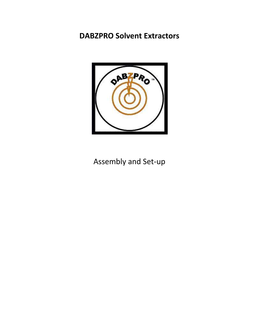**DABZPRO Solvent Extractors**



Assembly and Set-up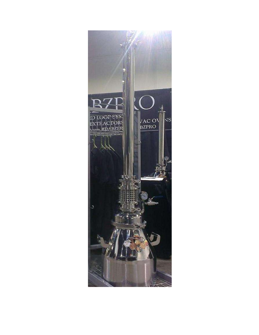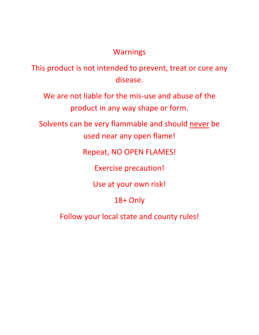# Warnings

This product is not intended to prevent, treat or cure any disease.

We are not liable for the mis-use and abuse of the product in any way shape or form.

Solvents can be very flammable and should never be used near any open flame!

Repeat, NO OPEN FLAMES!

Exercise precaution!

Use at your own risk!

## 18+ Only

Follow your local state and county rules!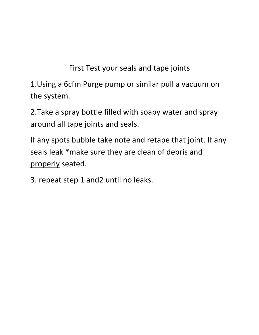First Test your seals and tape joints

1.Using a 6cfm Purge pump or similar pull a vacuum on the system.

2.Take a spray bottle filled with soapy water and spray around all tape joints and seals.

If any spots bubble take note and retape that joint. If any seals leak \*make sure they are clean of debris and properly seated.

3. repeat step 1 and2 until no leaks.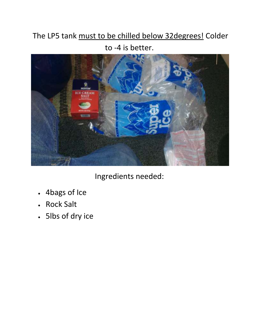## The LP5 tank must to be chilled below 32 degrees! Colder



to -4 is better.

Ingredients needed:

- 4bags of Ice
- Rock Salt
- 5lbs of dry ice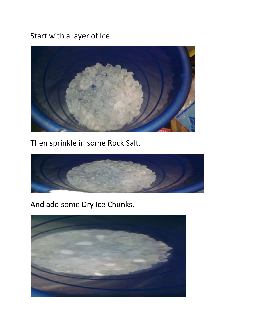Start with a layer of Ice.



Then sprinkle in some Rock Salt.



# And add some Dry Ice Chunks.

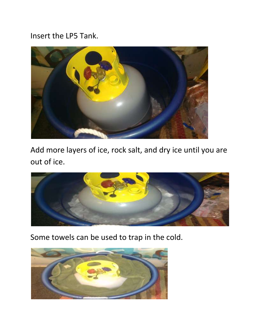#### Insert the LP5 Tank.



Add more layers of ice, rock salt, and dry ice until you are out of ice.



Some towels can be used to trap in the cold.

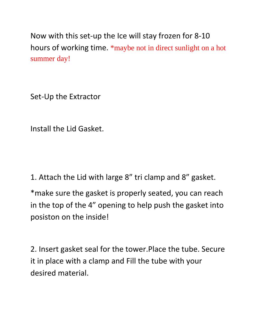Now with this set-up the Ice will stay frozen for 8-10 hours of working time. \*maybe not in direct sunlight on a hot summer day!

Set-Up the Extractor

Install the Lid Gasket.

1. Attach the Lid with large 8" tri clamp and 8" gasket.

\*make sure the gasket is properly seated, you can reach in the top of the 4" opening to help push the gasket into posiston on the inside!

2. Insert gasket seal for the tower.Place the tube. Secure it in place with a clamp and Fill the tube with your desired material.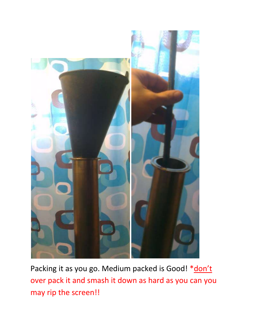

Packing it as you go. Medium packed is Good! \* don't over pack it and smash it down as hard as you can you may rip the screen!!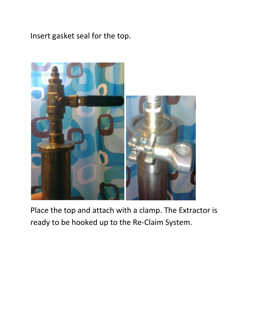## Insert gasket seal for the top.



Place the top and attach with a clamp. The Extractor is ready to be hooked up to the Re-Claim System.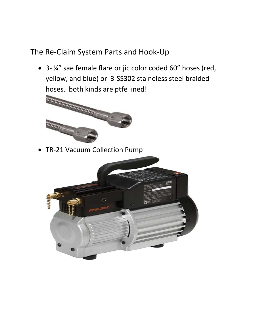#### The Re-Claim System Parts and Hook-Up

 3- ¼" sae female flare or jic color coded 60" hoses (red, yellow, and blue) or 3-SS302 staineless steel braided hoses. both kinds are ptfe lined!



TR-21 Vacuum Collection Pump

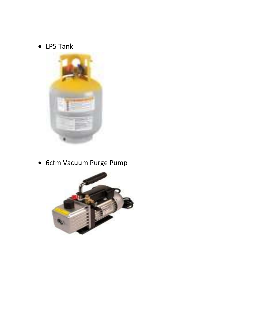LP5 Tank



6cfm Vacuum Purge Pump

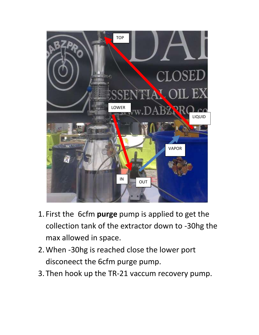

- 1. First the 6cfm **purge** pump is applied to get the collection tank of the extractor down to -30hg the max allowed in space.
- 2.When -30hg is reached close the lower port disconeect the 6cfm purge pump.
- 3. Then hook up the TR-21 vaccum recovery pump.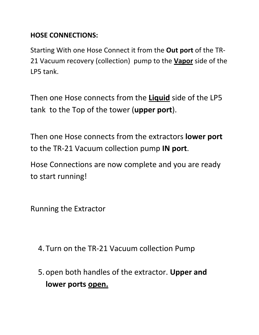#### **HOSE CONNECTIONS:**

Starting With one Hose Connect it from the **Out port** of the TR-21 Vacuum recovery (collection) pump to the **Vapor** side of the LP5 tank.

Then one Hose connects from the **Liquid** side of the LP5 tank to the Top of the tower (**upper port**).

Then one Hose connects from the extractors **lower port** to the TR-21 Vacuum collection pump **IN port**.

Hose Connections are now complete and you are ready to start running!

Running the Extractor

4. Turn on the TR-21 Vacuum collection Pump

5. open both handles of the extractor. **Upper and lower ports open.**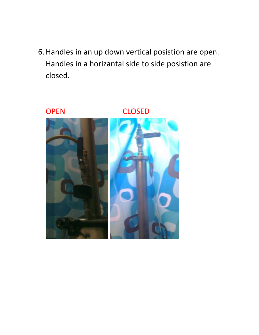6.Handles in an up down vertical posistion are open. Handles in a horizantal side to side posistion are closed.

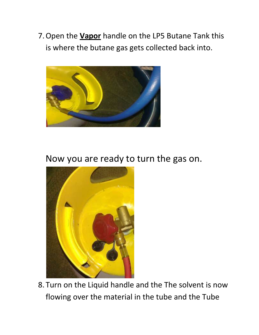7.Open the **Vapor** handle on the LP5 Butane Tank this is where the butane gas gets collected back into.



# Now you are ready to turn the gas on.



8. Turn on the Liquid handle and the The solvent is now flowing over the material in the tube and the Tube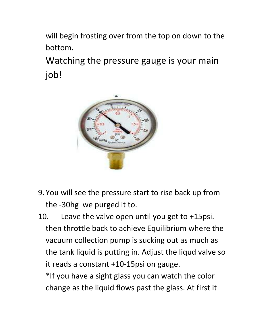will begin frosting over from the top on down to the bottom.

Watching the pressure gauge is your main job!



- 9. You will see the pressure start to rise back up from the -30hg we purged it to.
- 10. Leave the valve open until you get to +15psi. then throttle back to achieve Equilibrium where the vacuum collection pump is sucking out as much as the tank liquid is putting in. Adjust the liqud valve so it reads a constant +10-15psi on gauge. \*If you have a sight glass you can watch the color change as the liquid flows past the glass. At first it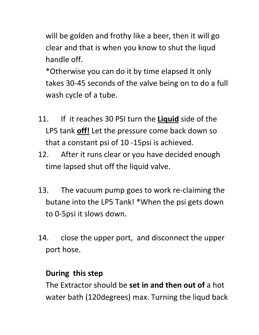will be golden and frothy like a beer, then it will go clear and that is when you know to shut the liqud handle off.

\*Otherwise you can do it by time elapsed It only takes 30-45 seconds of the valve being on to do a full wash cycle of a tube.

- 11. If it reaches 30 PSI turn the **Liquid** side of the LP5 tank **off!** Let the pressure come back down so that a constant psi of 10 -15psi is achieved.
- 12. After it runs clear or you have decided enough time lapsed shut off the liquid valve.
- 13. The vacuum pump goes to work re-claiming the butane into the LP5 Tank! \*When the psi gets down to 0-5psi it slows down.
- 14. close the upper port, and disconnect the upper port hose.

#### **During this step**

The Extractor should be **set in and then out of** a hot water bath (120degrees) max. Turning the liqud back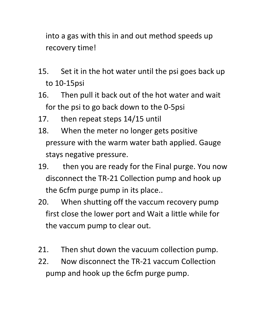into a gas with this in and out method speeds up recovery time!

- 15. Set it in the hot water until the psi goes back up to 10-15psi
- 16. Then pull it back out of the hot water and wait for the psi to go back down to the 0-5psi
- 17. then repeat steps 14/15 until
- 18. When the meter no longer gets positive pressure with the warm water bath applied. Gauge stays negative pressure.
- 19. then you are ready for the Final purge. You now disconnect the TR-21 Collection pump and hook up the 6cfm purge pump in its place..
- 20. When shutting off the vaccum recovery pump first close the lower port and Wait a little while for the vaccum pump to clear out.
- 21. Then shut down the vacuum collection pump.
- 22. Now disconnect the TR-21 vaccum Collection pump and hook up the 6cfm purge pump.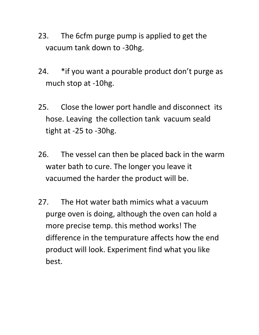- 23. The 6cfm purge pump is applied to get the vacuum tank down to -30hg.
- 24. \*if you want a pourable product don't purge as much stop at -10hg.
- 25. Close the lower port handle and disconnect its hose. Leaving the collection tank vacuum seald tight at -25 to -30hg.
- 26. The vessel can then be placed back in the warm water bath to cure. The longer you leave it vacuumed the harder the product will be.
- 27. The Hot water bath mimics what a vacuum purge oven is doing, although the oven can hold a more precise temp. this method works! The difference in the tempurature affects how the end product will look. Experiment find what you like best.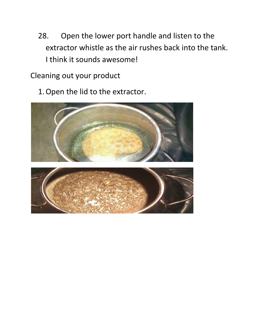28. Open the lower port handle and listen to the extractor whistle as the air rushes back into the tank. I think it sounds awesome!

Cleaning out your product

1.Open the lid to the extractor.

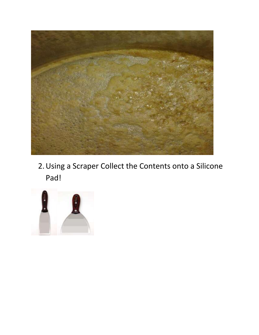

2.Using a Scraper Collect the Contents onto a Silicone Pad!